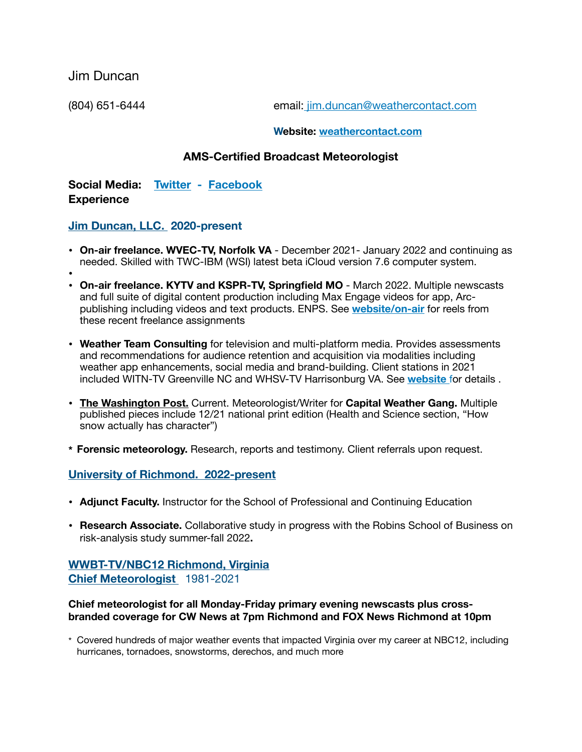Jim Duncan 

(804) 651-6444 email: [jim.duncan@weathercontact.com](mailto:jim.duncan@weathercontact.com)

#### **Website: [weathercontact.com](https://weathercontact.com)**

# **AMS-Certified Broadcast Meteorologist**

**Social Media: [Twitter](https://twitter.com/JimDuncanRVA) - [Facebook](https://www.facebook.com/JimDuncanRVA) Experience** 

## **Jim Duncan, LLC. 2020-present**

- **• On-air freelance. WVEC-TV, Norfolk VA**  December 2021- January 2022 and continuing as needed. Skilled with TWC-IBM (WSI) latest beta iCloud version 7.6 computer system.
- **•**
- **• On-air freelance. KYTV and KSPR-TV, Springfield MO**  March 2022. Multiple newscasts and full suite of digital content production including Max Engage videos for app, Arcpublishing including videos and text products. ENPS. See **[website/on-air](https://weathercontact.com/on-air)** for reels from these recent freelance assignments
- **• Weather Team Consulting** for television and multi-platform media. Provides assessments and recommendations for audience retention and acquisition via modalities including weather app enhancements, social media and brand-building. Client stations in 2021 included WITN-TV Greenville NC and WHSV-TV Harrisonburg VA. See **[website](https://weathercontact.com)** for details .
- **• The Washington Post.** Current. Meteorologist/Writer for **Capital Weather Gang.** Multiple published pieces include 12/21 national print edition (Health and Science section, "How snow actually has character")
- **\* Forensic meteorology.** Research, reports and testimony. Client referrals upon request.

# **University of Richmond. 2022-present**

- **• Adjunct Faculty.** Instructor for the School of Professional and Continuing Education
- **• Research Associate.** Collaborative study in progress with the Robins School of Business on risk-analysis study summer-fall 2022**.**

# **WWBT-TV/NBC12 Richmond, Virginia Chief Meteorologist** 1981-2021

#### **Chief meteorologist for all Monday-Friday primary evening newscasts plus crossbranded coverage for CW News at 7pm Richmond and FOX News Richmond at 10pm**

\* Covered hundreds of major weather events that impacted Virginia over my career at NBC12, including hurricanes, tornadoes, snowstorms, derechos, and much more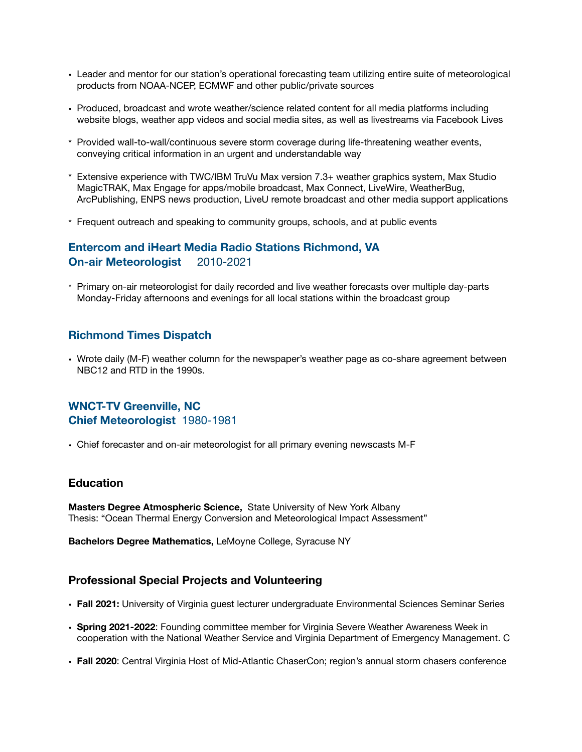- **•** Leader and mentor for our station's operational forecasting team utilizing entire suite of meteorological products from NOAA-NCEP, ECMWF and other public/private sources
- **•** Produced, broadcast and wrote weather/science related content for all media platforms including website blogs, weather app videos and social media sites, as well as livestreams via Facebook Lives
- \* Provided wall-to-wall/continuous severe storm coverage during life-threatening weather events, conveying critical information in an urgent and understandable way
- \* Extensive experience with TWC/IBM TruVu Max version 7.3+ weather graphics system, Max Studio MagicTRAK, Max Engage for apps/mobile broadcast, Max Connect, LiveWire, WeatherBug, ArcPublishing, ENPS news production, LiveU remote broadcast and other media support applications
- \* Frequent outreach and speaking to community groups, schools, and at public events

## **Entercom and iHeart Media Radio Stations Richmond, VA On-air Meteorologist** 2010-2021

\* Primary on-air meteorologist for daily recorded and live weather forecasts over multiple day-parts Monday-Friday afternoons and evenings for all local stations within the broadcast group

#### **Richmond Times Dispatch**

**•** Wrote daily (M-F) weather column for the newspaper's weather page as co-share agreement between NBC12 and RTD in the 1990s.

# **WNCT-TV Greenville, NC Chief Meteorologist** 1980-1981

• Chief forecaster and on-air meteorologist for all primary evening newscasts M-F

#### **Education**

**Masters Degree Atmospheric Science,** State University of New York Albany Thesis: "Ocean Thermal Energy Conversion and Meteorological Impact Assessment"

**Bachelors Degree Mathematics,** LeMoyne College, Syracuse NY

#### **Professional Special Projects and Volunteering**

- **• Fall 2021:** University of Virginia guest lecturer undergraduate Environmental Sciences Seminar Series
- **Spring 2021-2022**: Founding committee member for Virginia Severe Weather Awareness Week in cooperation with the National Weather Service and Virginia Department of Emergency Management. C
- **Fall 2020**: Central Virginia Host of Mid-Atlantic ChaserCon; region's annual storm chasers conference